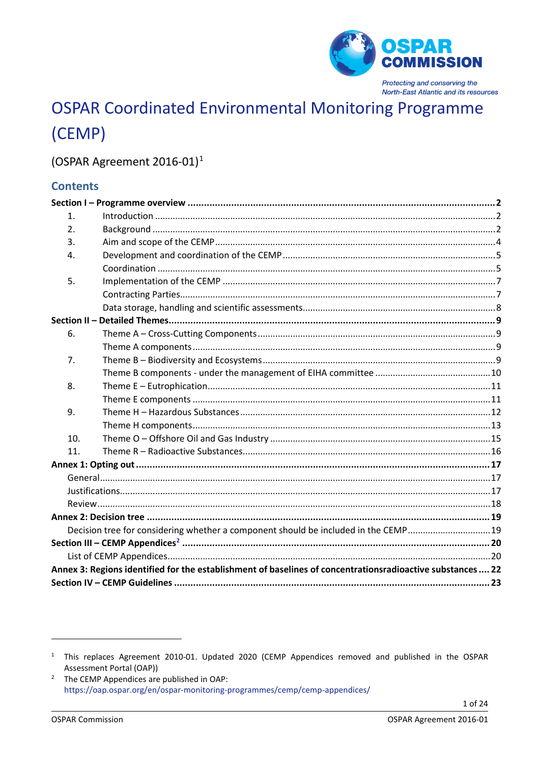

# **OSPAR Coordinated Environmental Monitoring Programme** (CEMP)

## (OSPAR Agreement 2016-01)<sup>1</sup>

## **Contents**

| 1.  |                                                                                                            |  |
|-----|------------------------------------------------------------------------------------------------------------|--|
| 2.  |                                                                                                            |  |
| 3.  |                                                                                                            |  |
| 4.  |                                                                                                            |  |
|     |                                                                                                            |  |
| 5.  |                                                                                                            |  |
|     |                                                                                                            |  |
|     |                                                                                                            |  |
|     |                                                                                                            |  |
| 6.  |                                                                                                            |  |
|     |                                                                                                            |  |
| 7.  |                                                                                                            |  |
|     |                                                                                                            |  |
| 8.  |                                                                                                            |  |
|     |                                                                                                            |  |
| 9.  |                                                                                                            |  |
|     |                                                                                                            |  |
| 10. |                                                                                                            |  |
| 11. |                                                                                                            |  |
|     |                                                                                                            |  |
|     |                                                                                                            |  |
|     |                                                                                                            |  |
|     |                                                                                                            |  |
|     |                                                                                                            |  |
|     | Decision tree for considering whether a component should be included in the CEMP19                         |  |
|     |                                                                                                            |  |
|     |                                                                                                            |  |
|     | Annex 3: Regions identified for the establishment of baselines of concentrationsradioactive substances  22 |  |
|     |                                                                                                            |  |

<span id="page-0-0"></span><sup>&</sup>lt;sup>1</sup> This replaces Agreement 2010-01. Updated 2020 (CEMP Appendices removed and published in the OSPAR Assessment Portal (OAP))

<span id="page-0-1"></span><sup>&</sup>lt;sup>2</sup> The CEMP Appendices are published in OAP: https://oap.ospar.org/en/ospar-monitoring-programmes/cemp/cemp-appendices/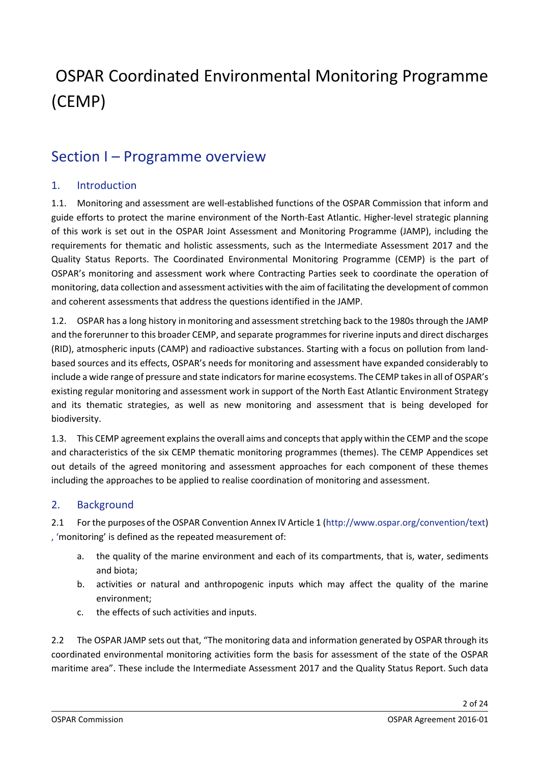# OSPAR Coordinated Environmental Monitoring Programme (CEMP)

## <span id="page-1-0"></span>Section I – Programme overview

## <span id="page-1-1"></span>1. Introduction

1.1. Monitoring and assessment are well-established functions of the OSPAR Commission that inform and guide efforts to protect the marine environment of the North-East Atlantic. Higher-level strategic planning of this work is set out in the OSPAR Joint Assessment and Monitoring Programme (JAMP), including the requirements for thematic and holistic assessments, such as the Intermediate Assessment 2017 and the Quality Status Reports. The Coordinated Environmental Monitoring Programme (CEMP) is the part of OSPAR's monitoring and assessment work where Contracting Parties seek to coordinate the operation of monitoring, data collection and assessment activities with the aim of facilitating the development of common and coherent assessments that address the questions identified in the JAMP.

1.2. OSPAR has a long history in monitoring and assessment stretching back to the 1980s through the JAMP and the forerunner to this broader CEMP, and separate programmes for riverine inputs and direct discharges (RID), atmospheric inputs (CAMP) and radioactive substances. Starting with a focus on pollution from landbased sources and its effects, OSPAR's needs for monitoring and assessment have expanded considerably to include a wide range of pressure and state indicators for marine ecosystems. The CEMP takes in all of OSPAR's existing regular monitoring and assessment work in support of the North East Atlantic Environment Strategy and its thematic strategies, as well as new monitoring and assessment that is being developed for biodiversity.

1.3. This CEMP agreement explains the overall aims and concepts that apply within the CEMP and the scope and characteristics of the six CEMP thematic monitoring programmes (themes). The CEMP Appendices set out details of the agreed monitoring and assessment approaches for each component of these themes including the approaches to be applied to realise coordination of monitoring and assessment.

## <span id="page-1-2"></span>2. Background

2.1 For the purposes of the OSPAR Convention Annex IV Article 1 [\(http://www.ospar.org/convention/text\)](http://www.ospar.org/convention/text) [, '](file://INTRANET/org/DBASE/DECRECS/AGREEMENTS/,%20)monitoring' is defined as the repeated measurement of:

- a. the quality of the marine environment and each of its compartments, that is, water, sediments and biota;
- b. activities or natural and anthropogenic inputs which may affect the quality of the marine environment;
- c. the effects of such activities and inputs.

2.2 The OSPAR JAMP sets out that, "The monitoring data and information generated by OSPAR through its coordinated environmental monitoring activities form the basis for assessment of the state of the OSPAR maritime area". These include the Intermediate Assessment 2017 and the Quality Status Report. Such data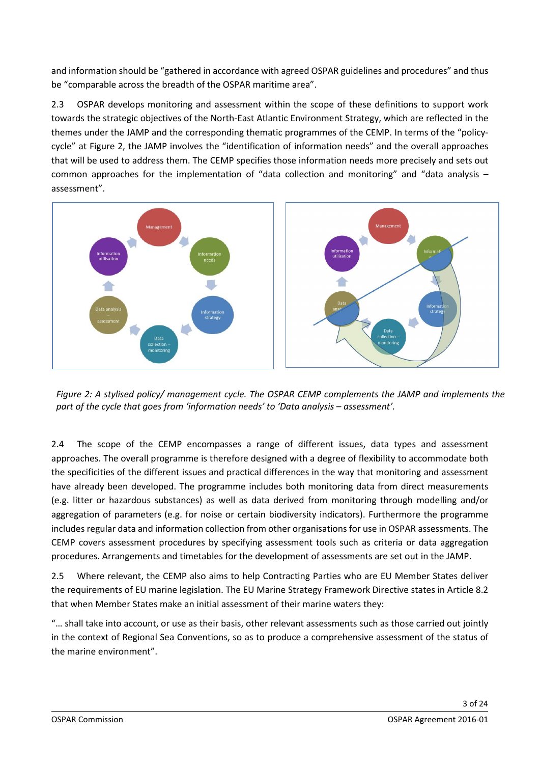and information should be "gathered in accordance with agreed OSPAR guidelines and procedures" and thus be "comparable across the breadth of the OSPAR maritime area".

2.3 OSPAR develops monitoring and assessment within the scope of these definitions to support work towards the strategic objectives of the North-East Atlantic Environment Strategy, which are reflected in the themes under the JAMP and the corresponding thematic programmes of the CEMP. In terms of the "policycycle" at Figure 2, the JAMP involves the "identification of information needs" and the overall approaches that will be used to address them. The CEMP specifies those information needs more precisely and sets out common approaches for the implementation of "data collection and monitoring" and "data analysis – assessment".



*Figure 2: A stylised policy/ management cycle. The OSPAR CEMP complements the JAMP and implements the part of the cycle that goes from 'information needs' to 'Data analysis – assessment'.*

2.4 The scope of the CEMP encompasses a range of different issues, data types and assessment approaches. The overall programme is therefore designed with a degree of flexibility to accommodate both the specificities of the different issues and practical differences in the way that monitoring and assessment have already been developed. The programme includes both monitoring data from direct measurements (e.g. litter or hazardous substances) as well as data derived from monitoring through modelling and/or aggregation of parameters (e.g. for noise or certain biodiversity indicators). Furthermore the programme includes regular data and information collection from other organisations for use in OSPAR assessments. The CEMP covers assessment procedures by specifying assessment tools such as criteria or data aggregation procedures. Arrangements and timetables for the development of assessments are set out in the JAMP.

2.5 Where relevant, the CEMP also aims to help Contracting Parties who are EU Member States deliver the requirements of EU marine legislation. The EU Marine Strategy Framework Directive states in Article 8.2 that when Member States make an initial assessment of their marine waters they:

"… shall take into account, or use as their basis, other relevant assessments such as those carried out jointly in the context of Regional Sea Conventions, so as to produce a comprehensive assessment of the status of the marine environment".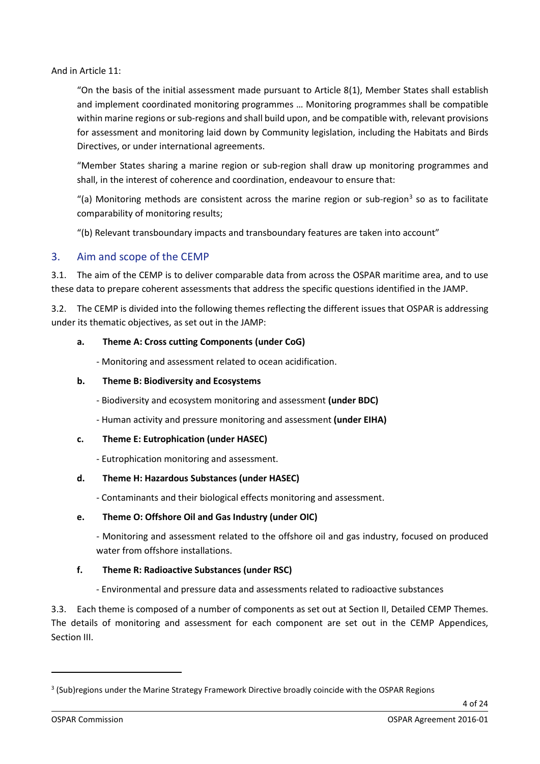And in Article 11:

"On the basis of the initial assessment made pursuant to Article 8(1), Member States shall establish and implement coordinated monitoring programmes … Monitoring programmes shall be compatible within marine regions or sub-regions and shall build upon, and be compatible with, relevant provisions for assessment and monitoring laid down by Community legislation, including the Habitats and Birds Directives, or under international agreements.

"Member States sharing a marine region or sub-region shall draw up monitoring programmes and shall, in the interest of coherence and coordination, endeavour to ensure that:

"(a) Monitoring methods are consistent across the marine region or sub-region<sup>[3](#page-3-1)</sup> so as to facilitate comparability of monitoring results;

"(b) Relevant transboundary impacts and transboundary features are taken into account"

### <span id="page-3-0"></span>3. Aim and scope of the CEMP

3.1. The aim of the CEMP is to deliver comparable data from across the OSPAR maritime area, and to use these data to prepare coherent assessments that address the specific questions identified in the JAMP.

3.2. The CEMP is divided into the following themes reflecting the different issues that OSPAR is addressing under its thematic objectives, as set out in the JAMP:

#### **a. Theme A: Cross cutting Components (under CoG)**

- Monitoring and assessment related to ocean acidification.

#### **b. Theme B: Biodiversity and Ecosystems**

- Biodiversity and ecosystem monitoring and assessment **(under BDC)**

- Human activity and pressure monitoring and assessment **(under EIHA)**

#### **c. Theme E: Eutrophication (under HASEC)**

- Eutrophication monitoring and assessment.

#### **d. Theme H: Hazardous Substances (under HASEC)**

- Contaminants and their biological effects monitoring and assessment.

#### **e. Theme O: Offshore Oil and Gas Industry (under OIC)**

- Monitoring and assessment related to the offshore oil and gas industry, focused on produced water from offshore installations.

### **f. Theme R: Radioactive Substances (under RSC)**

- Environmental and pressure data and assessments related to radioactive substances

3.3. Each theme is composed of a number of components as set out at Section II, Detailed CEMP Themes. The details of monitoring and assessment for each component are set out in the CEMP Appendices, Section III.

<span id="page-3-1"></span><sup>&</sup>lt;sup>3</sup> (Sub)regions under the Marine Strategy Framework Directive broadly coincide with the OSPAR Regions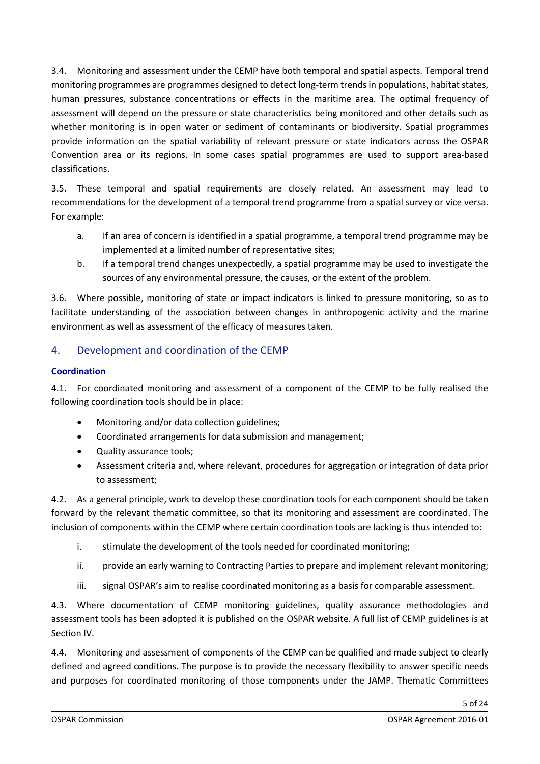3.4. Monitoring and assessment under the CEMP have both temporal and spatial aspects. Temporal trend monitoring programmes are programmes designed to detect long-term trends in populations, habitat states, human pressures, substance concentrations or effects in the maritime area. The optimal frequency of assessment will depend on the pressure or state characteristics being monitored and other details such as whether monitoring is in open water or sediment of contaminants or biodiversity. Spatial programmes provide information on the spatial variability of relevant pressure or state indicators across the OSPAR Convention area or its regions. In some cases spatial programmes are used to support area-based classifications.

3.5. These temporal and spatial requirements are closely related. An assessment may lead to recommendations for the development of a temporal trend programme from a spatial survey or vice versa. For example:

- a. If an area of concern is identified in a spatial programme, a temporal trend programme may be implemented at a limited number of representative sites;
- b. If a temporal trend changes unexpectedly, a spatial programme may be used to investigate the sources of any environmental pressure, the causes, or the extent of the problem.

3.6. Where possible, monitoring of state or impact indicators is linked to pressure monitoring, so as to facilitate understanding of the association between changes in anthropogenic activity and the marine environment as well as assessment of the efficacy of measures taken.

## <span id="page-4-0"></span>4. Development and coordination of the CEMP

### <span id="page-4-1"></span>**Coordination**

4.1. For coordinated monitoring and assessment of a component of the CEMP to be fully realised the following coordination tools should be in place:

- Monitoring and/or data collection guidelines;
- Coordinated arrangements for data submission and management;
- Quality assurance tools;
- Assessment criteria and, where relevant, procedures for aggregation or integration of data prior to assessment;

4.2. As a general principle, work to develop these coordination tools for each component should be taken forward by the relevant thematic committee, so that its monitoring and assessment are coordinated. The inclusion of components within the CEMP where certain coordination tools are lacking is thus intended to:

- i. stimulate the development of the tools needed for coordinated monitoring;
- ii. provide an early warning to Contracting Parties to prepare and implement relevant monitoring;
- iii. signal OSPAR's aim to realise coordinated monitoring as a basis for comparable assessment.

4.3. Where documentation of CEMP monitoring guidelines, quality assurance methodologies and assessment tools has been adopted it is published on the OSPAR website. A full list of CEMP guidelines is at Section IV.

4.4. Monitoring and assessment of components of the CEMP can be qualified and made subject to clearly defined and agreed conditions. The purpose is to provide the necessary flexibility to answer specific needs and purposes for coordinated monitoring of those components under the JAMP. Thematic Committees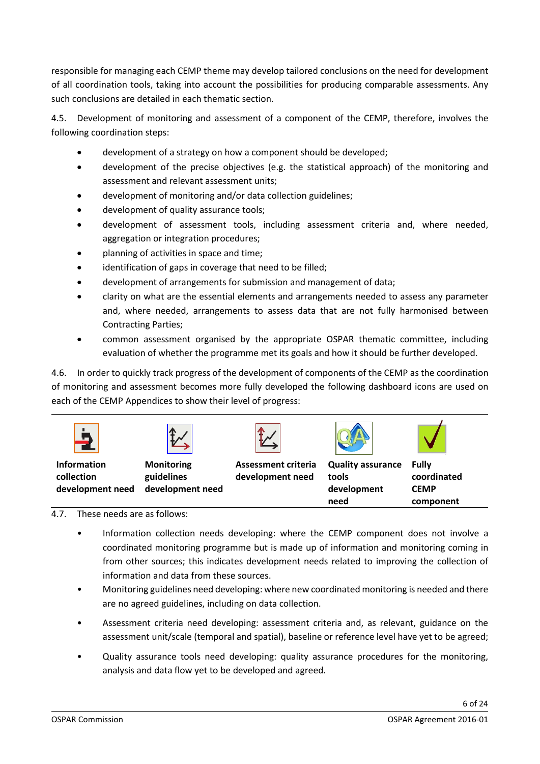responsible for managing each CEMP theme may develop tailored conclusions on the need for development of all coordination tools, taking into account the possibilities for producing comparable assessments. Any such conclusions are detailed in each thematic section.

4.5. Development of monitoring and assessment of a component of the CEMP, therefore, involves the following coordination steps:

- development of a strategy on how a component should be developed;
- development of the precise objectives (e.g. the statistical approach) of the monitoring and assessment and relevant assessment units;
- development of monitoring and/or data collection guidelines;
- development of quality assurance tools;
- development of assessment tools, including assessment criteria and, where needed, aggregation or integration procedures;
- planning of activities in space and time;
- identification of gaps in coverage that need to be filled;
- development of arrangements for submission and management of data;
- clarity on what are the essential elements and arrangements needed to assess any parameter and, where needed, arrangements to assess data that are not fully harmonised between Contracting Parties;
- common assessment organised by the appropriate OSPAR thematic committee, including evaluation of whether the programme met its goals and how it should be further developed.

4.6. In order to quickly track progress of the development of components of the CEMP as the coordination of monitoring and assessment becomes more fully developed the following dashboard icons are used on each of the CEMP Appendices to show their level of progress:



### 4.7. These needs are as follows:

• Information collection needs developing: where the CEMP component does not involve a coordinated monitoring programme but is made up of information and monitoring coming in from other sources; this indicates development needs related to improving the collection of information and data from these sources.

**need**

- Monitoring guidelines need developing: where new coordinated monitoring is needed and there are no agreed guidelines, including on data collection.
- Assessment criteria need developing: assessment criteria and, as relevant, guidance on the assessment unit/scale (temporal and spatial), baseline or reference level have yet to be agreed;
- Quality assurance tools need developing: quality assurance procedures for the monitoring, analysis and data flow yet to be developed and agreed.

**component**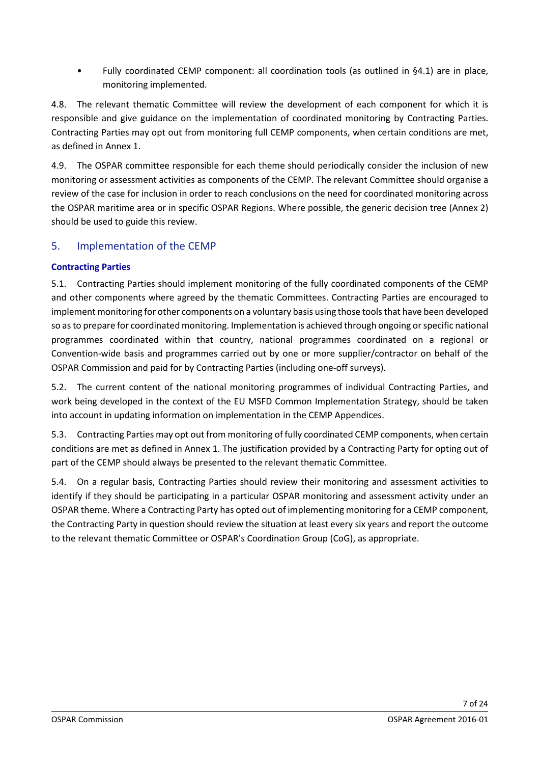• Fully coordinated CEMP component: all coordination tools (as outlined in §4.1) are in place, monitoring implemented.

4.8. The relevant thematic Committee will review the development of each component for which it is responsible and give guidance on the implementation of coordinated monitoring by Contracting Parties. Contracting Parties may opt out from monitoring full CEMP components, when certain conditions are met, as defined in Annex 1.

4.9. The OSPAR committee responsible for each theme should periodically consider the inclusion of new monitoring or assessment activities as components of the CEMP. The relevant Committee should organise a review of the case for inclusion in order to reach conclusions on the need for coordinated monitoring across the OSPAR maritime area or in specific OSPAR Regions. Where possible, the generic decision tree (Annex 2) should be used to guide this review.

## <span id="page-6-0"></span>5. Implementation of the CEMP

## <span id="page-6-1"></span>**Contracting Parties**

5.1. Contracting Parties should implement monitoring of the fully coordinated components of the CEMP and other components where agreed by the thematic Committees. Contracting Parties are encouraged to implement monitoring for other components on a voluntary basis using those tools that have been developed so as to prepare for coordinated monitoring. Implementation is achieved through ongoing or specific national programmes coordinated within that country, national programmes coordinated on a regional or Convention-wide basis and programmes carried out by one or more supplier/contractor on behalf of the OSPAR Commission and paid for by Contracting Parties (including one-off surveys).

5.2. The current content of the national monitoring programmes of individual Contracting Parties, and work being developed in the context of the EU MSFD Common Implementation Strategy, should be taken into account in updating information on implementation in the CEMP Appendices.

5.3. Contracting Parties may opt out from monitoring of fully coordinated CEMP components, when certain conditions are met as defined in Annex 1. The justification provided by a Contracting Party for opting out of part of the CEMP should always be presented to the relevant thematic Committee.

5.4. On a regular basis, Contracting Parties should review their monitoring and assessment activities to identify if they should be participating in a particular OSPAR monitoring and assessment activity under an OSPAR theme. Where a Contracting Party has opted out of implementing monitoring for a CEMP component, the Contracting Party in question should review the situation at least every six years and report the outcome to the relevant thematic Committee or OSPAR's Coordination Group (CoG), as appropriate.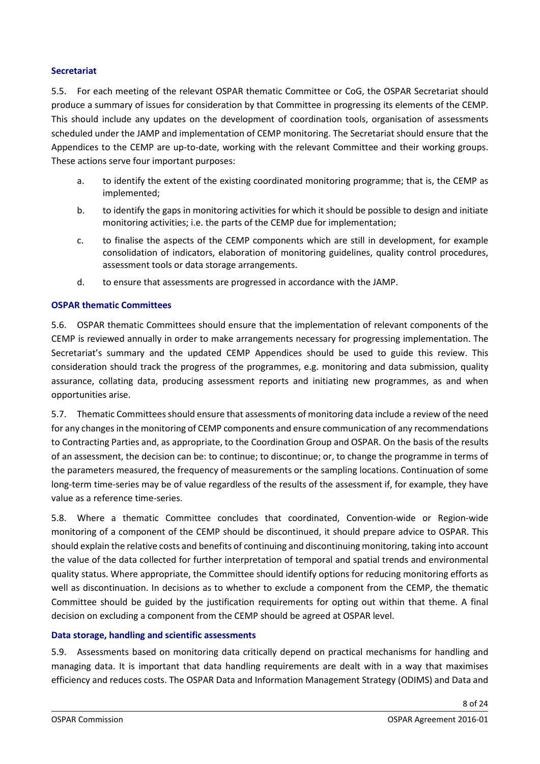#### **Secretariat**

5.5. For each meeting of the relevant OSPAR thematic Committee or CoG, the OSPAR Secretariat should produce a summary of issues for consideration by that Committee in progressing its elements of the CEMP. This should include any updates on the development of coordination tools, organisation of assessments scheduled under the JAMP and implementation of CEMP monitoring. The Secretariat should ensure that the Appendices to the CEMP are up-to-date, working with the relevant Committee and their working groups. These actions serve four important purposes:

- a. to identify the extent of the existing coordinated monitoring programme; that is, the CEMP as implemented;
- b. to identify the gaps in monitoring activities for which it should be possible to design and initiate monitoring activities; i.e. the parts of the CEMP due for implementation;
- c. to finalise the aspects of the CEMP components which are still in development, for example consolidation of indicators, elaboration of monitoring guidelines, quality control procedures, assessment tools or data storage arrangements.
- d. to ensure that assessments are progressed in accordance with the JAMP.

#### **OSPAR thematic Committees**

5.6. OSPAR thematic Committees should ensure that the implementation of relevant components of the CEMP is reviewed annually in order to make arrangements necessary for progressing implementation. The Secretariat's summary and the updated CEMP Appendices should be used to guide this review. This consideration should track the progress of the programmes, e.g. monitoring and data submission, quality assurance, collating data, producing assessment reports and initiating new programmes, as and when opportunities arise.

5.7. Thematic Committees should ensure that assessments of monitoring data include a review of the need for any changes in the monitoring of CEMP components and ensure communication of any recommendations to Contracting Parties and, as appropriate, to the Coordination Group and OSPAR. On the basis of the results of an assessment, the decision can be: to continue; to discontinue; or, to change the programme in terms of the parameters measured, the frequency of measurements or the sampling locations. Continuation of some long-term time-series may be of value regardless of the results of the assessment if, for example, they have value as a reference time-series.

5.8. Where a thematic Committee concludes that coordinated, Convention-wide or Region-wide monitoring of a component of the CEMP should be discontinued, it should prepare advice to OSPAR. This should explain the relative costs and benefits of continuing and discontinuing monitoring, taking into account the value of the data collected for further interpretation of temporal and spatial trends and environmental quality status. Where appropriate, the Committee should identify options for reducing monitoring efforts as well as discontinuation. In decisions as to whether to exclude a component from the CEMP, the thematic Committee should be guided by the justification requirements for opting out within that theme. A final decision on excluding a component from the CEMP should be agreed at OSPAR level.

#### <span id="page-7-0"></span>**Data storage, handling and scientific assessments**

5.9. Assessments based on monitoring data critically depend on practical mechanisms for handling and managing data. It is important that data handling requirements are dealt with in a way that maximises efficiency and reduces costs. The OSPAR Data and Information Management Strategy (ODIMS) and Data and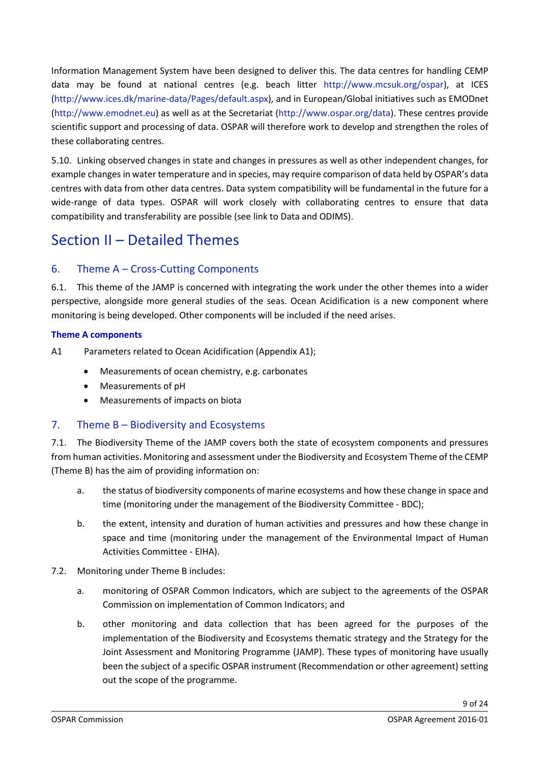Information Management System have been designed to deliver this. The data centres for handling CEMP data may be found at national centres (e.g. beach litter [http://www.mcsuk.org/ospar\)](http://www.mcsuk.org/ospar/), at ICES [\(http://www.ices.dk/marine-data/Pages/default.aspx\)](http://www.ices.dk/marine-data/Pages/default.aspx), and in European/Global initiatives such as EMODnet [\(http://www.emodnet.eu\)](http://www.emodnet.eu/) as well as at the Secretariat [\(http://www.ospar.org/data\)](http://www.ospar.org/data). These centres provide scientific support and processing of data. OSPAR will therefore work to develop and strengthen the roles of these collaborating centres.

5.10. Linking observed changes in state and changes in pressures as well as other independent changes, for example changes in water temperature and in species, may require comparison of data held by OSPAR's data centres with data from other data centres. Data system compatibility will be fundamental in the future for a wide-range of data types. OSPAR will work closely with collaborating centres to ensure that data compatibility and transferability are possible (see link to Data and ODIMS).

## <span id="page-8-0"></span>Section II – Detailed Themes

## <span id="page-8-1"></span>6. Theme A – Cross-Cutting Components

6.1. This theme of the JAMP is concerned with integrating the work under the other themes into a wider perspective, alongside more general studies of the seas. Ocean Acidification is a new component where monitoring is being developed. Other components will be included if the need arises.

### <span id="page-8-2"></span>**Theme A components**

A1 Parameters related to Ocean Acidification (Appendix A1);

- Measurements of ocean chemistry, e.g. carbonates
- Measurements of pH
- Measurements of impacts on biota

## <span id="page-8-3"></span>7. Theme B – Biodiversity and Ecosystems

7.1. The Biodiversity Theme of the JAMP covers both the state of ecosystem components and pressures from human activities. Monitoring and assessment under the Biodiversity and Ecosystem Theme of the CEMP (Theme B) has the aim of providing information on:

- a. the status of biodiversity components of marine ecosystems and how these change in space and time (monitoring under the management of the Biodiversity Committee - BDC);
- b. the extent, intensity and duration of human activities and pressures and how these change in space and time (monitoring under the management of the Environmental Impact of Human Activities Committee - EIHA).
- 7.2. Monitoring under Theme B includes:
	- a. monitoring of OSPAR Common Indicators, which are subject to the agreements of the OSPAR Commission on implementation of Common Indicators; and
	- b. other monitoring and data collection that has been agreed for the purposes of the implementation of the Biodiversity and Ecosystems thematic strategy and the Strategy for the Joint Assessment and Monitoring Programme (JAMP). These types of monitoring have usually been the subject of a specific OSPAR instrument (Recommendation or other agreement) setting out the scope of the programme.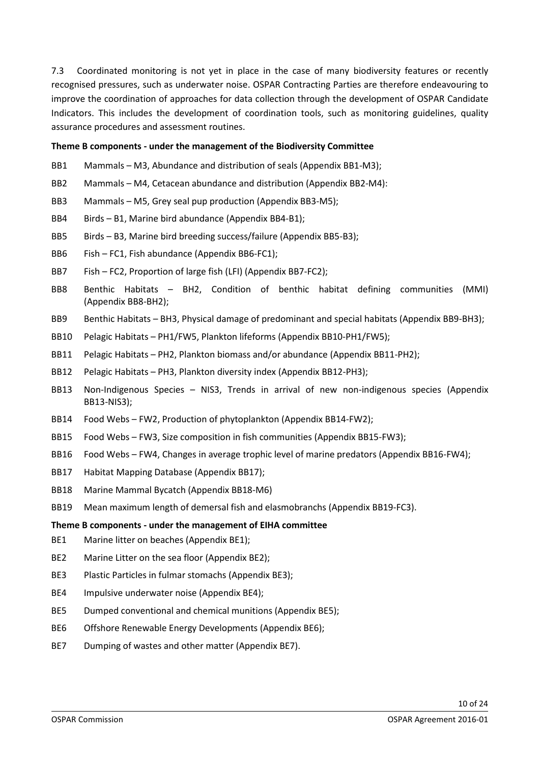7.3 Coordinated monitoring is not yet in place in the case of many biodiversity features or recently recognised pressures, such as underwater noise. OSPAR Contracting Parties are therefore endeavouring to improve the coordination of approaches for data collection through the development of OSPAR Candidate Indicators. This includes the development of coordination tools, such as monitoring guidelines, quality assurance procedures and assessment routines.

#### **Theme B components - under the management of the Biodiversity Committee**

- BB1 Mammals M3, Abundance and distribution of seals (Appendix BB1-M3);
- BB2 Mammals M4, Cetacean abundance and distribution (Appendix BB2-M4):
- BB3 Mammals M5, Grey seal pup production (Appendix BB3-M5);
- BB4 Birds B1, Marine bird abundance (Appendix BB4-B1);
- BB5 Birds B3, Marine bird breeding success/failure (Appendix BB5-B3);
- BB6 Fish FC1, Fish abundance (Appendix BB6-FC1);
- BB7 Fish FC2, Proportion of large fish (LFI) (Appendix BB7-FC2);
- BB8 Benthic Habitats BH2, Condition of benthic habitat defining communities (MMI) (Appendix BB8-BH2);
- BB9 Benthic Habitats BH3, Physical damage of predominant and special habitats (Appendix BB9-BH3);
- BB10 Pelagic Habitats PH1/FW5, Plankton lifeforms (Appendix BB10-PH1/FW5);
- BB11 Pelagic Habitats PH2, Plankton biomass and/or abundance (Appendix BB11-PH2);
- BB12 Pelagic Habitats PH3, Plankton diversity index (Appendix BB12-PH3);
- BB13 Non-Indigenous Species NIS3, Trends in arrival of new non-indigenous species (Appendix BB13-NIS3);
- BB14 Food Webs FW2, Production of phytoplankton (Appendix BB14-FW2);
- BB15 Food Webs FW3, Size composition in fish communities (Appendix BB15-FW3);
- BB16 Food Webs FW4, Changes in average trophic level of marine predators (Appendix BB16-FW4);
- BB17 Habitat Mapping Database (Appendix BB17);
- BB18 Marine Mammal Bycatch (Appendix BB18-M6)
- BB19 Mean maximum length of demersal fish and elasmobranchs (Appendix BB19-FC3).

#### <span id="page-9-0"></span>**Theme B components - under the management of EIHA committee**

- BE1 Marine litter on beaches (Appendix BE1);
- BE2 Marine Litter on the sea floor (Appendix BE2);
- BE3 Plastic Particles in fulmar stomachs (Appendix BE3);
- BE4 Impulsive underwater noise (Appendix BE4);
- BE5 Dumped conventional and chemical munitions (Appendix BE5);
- BE6 Offshore Renewable Energy Developments (Appendix BE6);
- BE7 Dumping of wastes and other matter (Appendix BE7).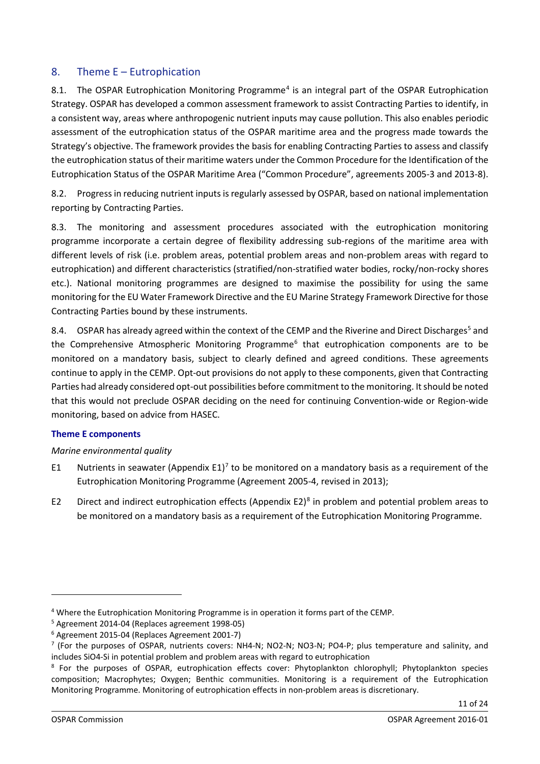## <span id="page-10-0"></span>8. Theme E – Eutrophication

8.1. The OSPAR Eutrophication Monitoring Programme<sup>[4](#page-10-2)</sup> is an integral part of the OSPAR Eutrophication Strategy. OSPAR has developed a common assessment framework to assist Contracting Parties to identify, in a consistent way, areas where anthropogenic nutrient inputs may cause pollution. This also enables periodic assessment of the eutrophication status of the OSPAR maritime area and the progress made towards the Strategy's objective. The framework provides the basis for enabling Contracting Parties to assess and classify the eutrophication status of their maritime waters under the Common Procedure for the Identification of the Eutrophication Status of the OSPAR Maritime Area ("Common Procedure", agreements 2005-3 and 2013-8).

8.2. Progress in reducing nutrient inputs is regularly assessed by OSPAR, based on national [implementation](http://www.ospar.org/content/content.asp?menu=00270303040000_000000_000000)  [reporting](http://www.ospar.org/content/content.asp?menu=00270303040000_000000_000000) by Contracting Parties.

8.3. The monitoring and assessment procedures associated with the eutrophication monitoring programme incorporate a certain degree of flexibility addressing sub-regions of the maritime area with different levels of risk (i.e. problem areas, potential problem areas and non-problem areas with regard to eutrophication) and different characteristics (stratified/non-stratified water bodies, rocky/non-rocky shores etc.). National monitoring programmes are designed to maximise the possibility for using the same monitoring for the EU Water Framework Directive and the EU Marine Strategy Framework Directive for those Contracting Parties bound by these instruments.

8.4. OSPAR has already agreed within the context of the CEMP and the Riverine and Direct Discharges<sup>[5](#page-10-3)</sup> and the Comprehensive Atmospheric Monitoring Programme<sup>[6](#page-10-4)</sup> that eutrophication components are to be monitored on a mandatory basis, subject to clearly defined and agreed conditions. These agreements continue to apply in the CEMP. Opt-out provisions do not apply to these components, given that Contracting Parties had already considered opt-out possibilities before commitment to the monitoring. It should be noted that this would not preclude OSPAR deciding on the need for continuing Convention-wide or Region-wide monitoring, based on advice from HASEC.

### <span id="page-10-1"></span>**Theme E components**

### *Marine environmental quality*

- E1 Nutrients in seawater (Appendix E1)<sup>[7](#page-10-5)</sup> to be monitored on a mandatory basis as a requirement of the Eutrophication Monitoring Programme (Agreement 2005-4, revised in 2013);
- E2 Direct and indirect eutrophication effects (Appendix E2)<sup>8</sup> in problem and potential problem areas to be monitored on a mandatory basis as a requirement of the Eutrophication Monitoring Programme.

<span id="page-10-2"></span><sup>4</sup> Where the Eutrophication Monitoring Programme is in operation it forms part of the CEMP.

<span id="page-10-3"></span><sup>5</sup> Agreement 2014-04 (Replaces agreement 1998-05)

<span id="page-10-4"></span><sup>6</sup> Agreement 2015-04 (Replaces Agreement 2001-7)

<span id="page-10-5"></span><sup>7</sup> (For the purposes of OSPAR, nutrients covers: NH4-N; NO2-N; NO3-N; PO4-P; plus temperature and salinity, and includes SiO4-Si in potential problem and problem areas with regard to eutrophication

<span id="page-10-6"></span><sup>&</sup>lt;sup>8</sup> For the purposes of OSPAR, eutrophication effects cover: Phytoplankton chlorophyll; Phytoplankton species composition; Macrophytes; Oxygen; Benthic communities. Monitoring is a requirement of the Eutrophication Monitoring Programme. Monitoring of eutrophication effects in non-problem areas is discretionary.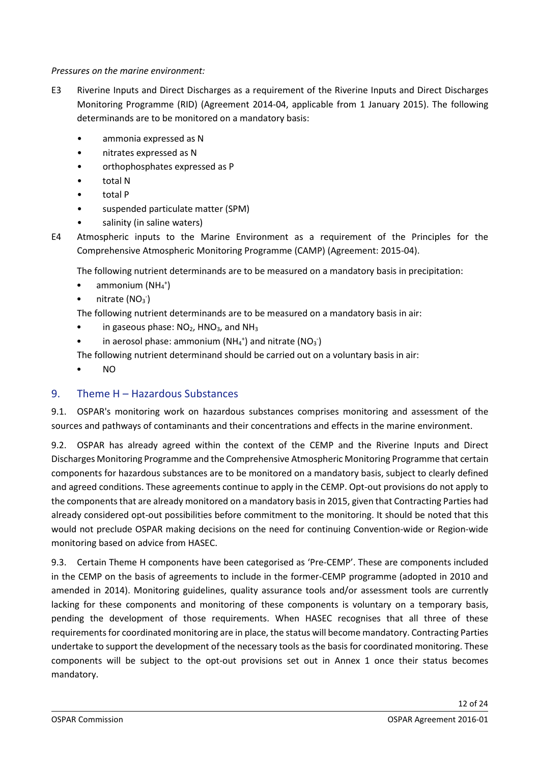#### *Pressures on the marine environment:*

- E3 Riverine Inputs and Direct Discharges as a requirement of the Riverine Inputs and Direct Discharges Monitoring Programme (RID) (Agreement 2014-04, applicable from 1 January 2015). The following determinands are to be monitored on a mandatory basis:
	- ammonia expressed as N
	- nitrates expressed as N
	- orthophosphates expressed as P
	- total N
	- total P
	- suspended particulate matter (SPM)
	- salinity (in saline waters)

E4 Atmospheric inputs to the Marine Environment as a requirement of the Principles for the Comprehensive Atmospheric Monitoring Programme (CAMP) (Agreement: 2015-04).

The following nutrient determinands are to be measured on a mandatory basis in precipitation:

- $\bullet$  ammonium (NH4<sup>+</sup>)
- $\bullet$  nitrate (NO<sub>3</sub><sup>-</sup>)

The following nutrient determinands are to be measured on a mandatory basis in air:

- in gaseous phase:  $NO<sub>2</sub>$ , HNO<sub>3</sub>, and NH<sub>3</sub>
- in aerosol phase: ammonium  $(NH<sub>4</sub><sup>+</sup>)$  and nitrate  $(NO<sub>3</sub>)$

The following nutrient determinand should be carried out on a voluntary basis in air:

• NO

## <span id="page-11-0"></span>9. Theme H – Hazardous Substances

9.1. OSPAR's monitoring work on hazardous substances comprises monitoring and assessment of the sources and pathways of contaminants and their concentrations and effects in the marine environment.

9.2. OSPAR has already agreed within the context of the CEMP and the Riverine Inputs and Direct Discharges Monitoring Programme and the Comprehensive Atmospheric Monitoring Programme that certain components for hazardous substances are to be monitored on a mandatory basis, subject to clearly defined and agreed conditions. These agreements continue to apply in the CEMP. Opt-out provisions do not apply to the components that are already monitored on a mandatory basis in 2015, given that Contracting Parties had already considered opt-out possibilities before commitment to the monitoring. It should be noted that this would not preclude OSPAR making decisions on the need for continuing Convention-wide or Region-wide monitoring based on advice from HASEC.

9.3. Certain Theme H components have been categorised as 'Pre-CEMP'. These are components included in the CEMP on the basis of agreements to include in the former-CEMP programme (adopted in 2010 and amended in 2014). Monitoring guidelines, quality assurance tools and/or assessment tools are currently lacking for these components and monitoring of these components is voluntary on a temporary basis, pending the development of those requirements. When HASEC recognises that all three of these requirements for coordinated monitoring are in place, the status will become mandatory. Contracting Parties undertake to support the development of the necessary tools as the basis for coordinated monitoring. These components will be subject to the opt-out provisions set out in Annex 1 once their status becomes mandatory.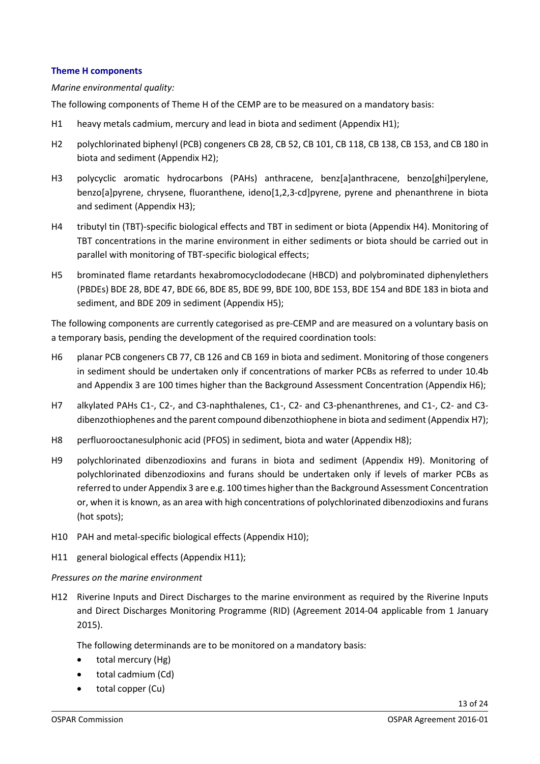#### <span id="page-12-0"></span>**Theme H components**

#### *Marine environmental quality:*

The following components of Theme H of the CEMP are to be measured on a mandatory basis:

- H1 heavy metals cadmium, mercury and lead in biota and sediment (Appendix H1);
- H2 polychlorinated biphenyl (PCB) congeners CB 28, CB 52, CB 101, CB 118, CB 138, CB 153, and CB 180 in biota and sediment (Appendix H2);
- H3 polycyclic aromatic hydrocarbons (PAHs) anthracene, benz[a]anthracene, benzo[ghi]perylene, benzo[a]pyrene, chrysene, fluoranthene, ideno[1,2,3-cd]pyrene, pyrene and phenanthrene in biota and sediment (Appendix H3);
- H4 tributyl tin (TBT)-specific biological effects and TBT in sediment or biota (Appendix H4). Monitoring of TBT concentrations in the marine environment in either sediments or biota should be carried out in parallel with monitoring of TBT-specific biological effects;
- H5 brominated flame retardants hexabromocyclododecane (HBCD) and polybrominated diphenylethers (PBDEs) BDE 28, BDE 47, BDE 66, BDE 85, BDE 99, BDE 100, BDE 153, BDE 154 and BDE 183 in biota and sediment, and BDE 209 in sediment (Appendix H5);

The following components are currently categorised as pre-CEMP and are measured on a voluntary basis on a temporary basis, pending the development of the required coordination tools:

- H6 planar PCB congeners CB 77, CB 126 and CB 169 in biota and sediment. Monitoring of those congeners in sediment should be undertaken only if concentrations of marker PCBs as referred to under 10.4b and Appendix 3 are 100 times higher than the Background Assessment Concentration (Appendix H6);
- H7 alkylated PAHs C1-, C2-, and C3-naphthalenes, C1-, C2- and C3-phenanthrenes, and C1-, C2- and C3 dibenzothiophenes and the parent compound dibenzothiophene in biota and sediment (Appendix H7);
- H8 perfluorooctanesulphonic acid (PFOS) in sediment, biota and water (Appendix H8);
- H9 polychlorinated dibenzodioxins and furans in biota and sediment (Appendix H9). Monitoring of polychlorinated dibenzodioxins and furans should be undertaken only if levels of marker PCBs as referred to under Appendix 3 are e.g. 100 times higher than the Background Assessment Concentration or, when it is known, as an area with high concentrations of polychlorinated dibenzodioxins and furans (hot spots);
- H10 PAH and metal-specific biological effects (Appendix H10);
- H11 general biological effects (Appendix H11);

#### *Pressures on the marine environment*

H12 Riverine Inputs and Direct Discharges to the marine environment as required by the Riverine Inputs and Direct Discharges Monitoring Programme (RID) (Agreement 2014-04 applicable from 1 January 2015).

The following determinands are to be monitored on a mandatory basis:

- total mercury (Hg)
- total cadmium (Cd)
- total copper (Cu)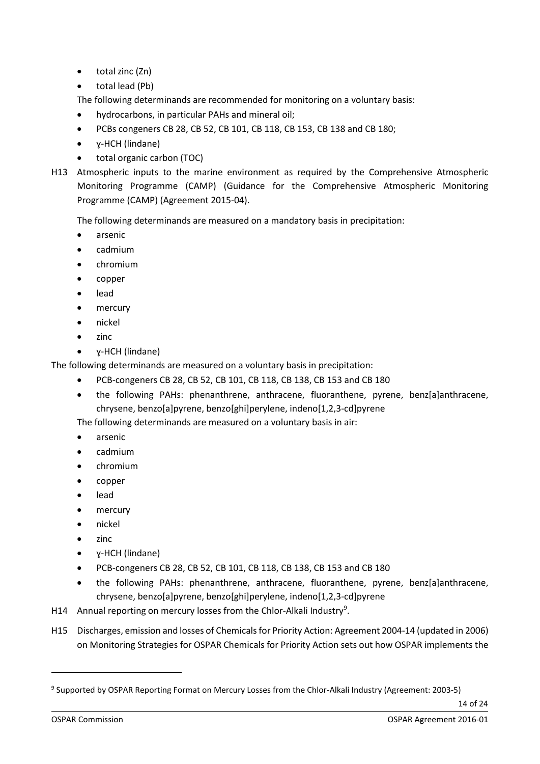- total zinc (Zn)
- total lead (Pb)

The following determinands are recommended for monitoring on a voluntary basis:

- hydrocarbons, in particular PAHs and mineral oil;
- PCBs congeners CB 28, CB 52, CB 101, CB 118, CB 153, CB 138 and CB 180;
- ɣ-HCH (lindane)
- total organic carbon (TOC)
- H13 Atmospheric inputs to the marine environment as required by the Comprehensive Atmospheric Monitoring Programme (CAMP) (Guidance for the Comprehensive Atmospheric Monitoring Programme (CAMP) (Agreement 2015-04).

The following determinands are measured on a mandatory basis in precipitation:

- arsenic
- cadmium
- chromium
- copper
- lead
- mercury
- nickel
- zinc
- ɣ-HCH (lindane)

The following determinands are measured on a voluntary basis in precipitation:

- PCB-congeners CB 28, CB 52, CB 101, CB 118, CB 138, CB 153 and CB 180
- the following PAHs: phenanthrene, anthracene, fluoranthene, pyrene, benz[a]anthracene, chrysene, benzo[a]pyrene, benzo[ghi]perylene, indeno[1,2,3-cd]pyrene

The following determinands are measured on a voluntary basis in air:

- arsenic
- cadmium
- chromium
- copper
- lead
- mercury
- nickel
- zinc
- ɣ-HCH (lindane)
- PCB-congeners CB 28, CB 52, CB 101, CB 118, CB 138, CB 153 and CB 180
- the following PAHs: phenanthrene, anthracene, fluoranthene, pyrene, benz[a]anthracene, chrysene, benzo[a]pyrene, benzo[ghi]perylene, indeno[1,2,3-cd]pyrene
- H14 Annual reporting on mercury losses from the Chlor-Alkali Industry<sup>[9](#page-13-0)</sup>.
- H15 Discharges, emission and losses of Chemicals for Priority Action: Agreement 2004-14 (updated in 2006) on Monitoring Strategies for OSPAR Chemicals for Priority Action sets out how OSPAR implements the

<span id="page-13-0"></span><sup>9</sup> Supported by OSPAR Reporting Format on Mercury Losses from the Chlor-Alkali Industry (Agreement: 2003-5)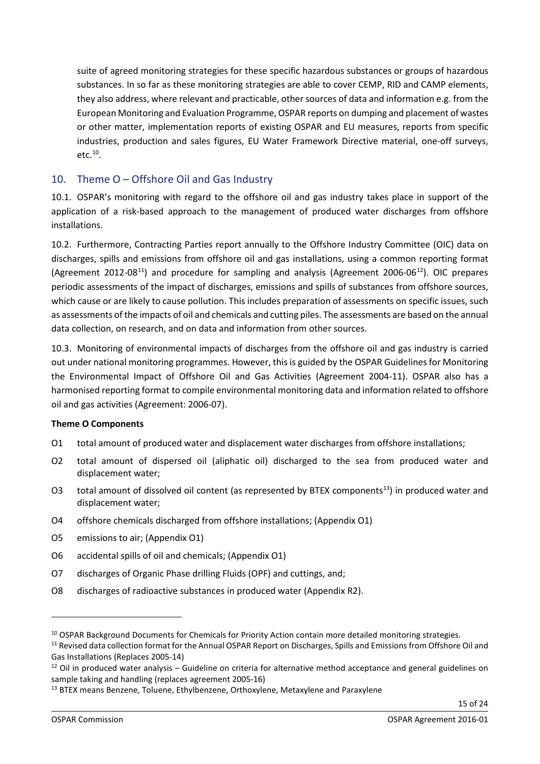suite of agreed monitoring strategies for these specific hazardous substances or groups of hazardous substances. In so far as these monitoring strategies are able to cover CEMP, RID and CAMP elements, they also address, where relevant and practicable, other sources of data and information e.g. from the European Monitoring and Evaluation Programme, OSPAR reports on dumping and placement of wastes or other matter, implementation reports of existing OSPAR and EU measures, reports from specific industries, production and sales figures, EU Water Framework Directive material, one-off surveys, etc. [10.](#page-14-1)

## <span id="page-14-0"></span>10. Theme O – Offshore Oil and Gas Industry

10.1. OSPAR's monitoring with regard to the offshore oil and gas industry takes place in support of the application of a risk-based approach to the management of produced water discharges from offshore installations.

10.2. Furthermore, Contracting Parties report annually to the Offshore Industry Committee (OIC) data on discharges, spills and emissions from offshore oil and gas installations, using a common reporting format (Agreement 2012-08<sup>[11](#page-14-2)</sup>) and procedure for sampling and analysis (Agreement 2006-06<sup>12</sup>). OIC prepares periodic assessments of the impact of discharges, emissions and spills of substances from offshore sources, which cause or are likely to cause pollution. This includes preparation of assessments on specific issues, such as assessments of the impacts of oil and chemicals and cutting piles. The assessments are based on the annual data collection, on research, and on data and information from other sources.

10.3. Monitoring of environmental impacts of discharges from the offshore oil and gas industry is carried out under national monitoring programmes. However, this is guided by the OSPAR Guidelines for Monitoring the Environmental Impact of Offshore Oil and Gas Activities (Agreement 2004-11). OSPAR also has a harmonised reporting format to compile environmental monitoring data and information related to offshore oil and gas activities (Agreement: 2006-07).

## **Theme O Components**

- O1 total amount of produced water and displacement water discharges from offshore installations;
- O2 total amount of dispersed oil (aliphatic oil) discharged to the sea from produced water and displacement water;
- O3 total amount of dissolved oil content (as represented by BTEX components<sup>13</sup>) in produced water and displacement water;
- O4 offshore chemicals discharged from offshore installations; (Appendix O1)
- O5 emissions to air; (Appendix O1)
- O6 accidental spills of oil and chemicals; (Appendix O1)
- O7 discharges of Organic Phase drilling Fluids (OPF) and cuttings, and;
- O8 discharges of radioactive substances in produced water (Appendix R2).

<span id="page-14-1"></span><sup>&</sup>lt;sup>10</sup> OSPAR Background Documents for Chemicals for Priority Action contain more detailed monitoring strategies.

<span id="page-14-2"></span><sup>&</sup>lt;sup>11</sup> Revised data collection format for the Annual OSPAR Report on Discharges, Spills and Emissions from Offshore Oil and Gas Installations (Replaces 2005-14)

<span id="page-14-3"></span> $12$  Oil in produced water analysis – Guideline on criteria for alternative method acceptance and general guidelines on sample taking and handling (replaces agreement 2005-16)

<span id="page-14-4"></span><sup>&</sup>lt;sup>13</sup> BTEX means Benzene, Toluene, Ethylbenzene, Orthoxylene, Metaxylene and Paraxylene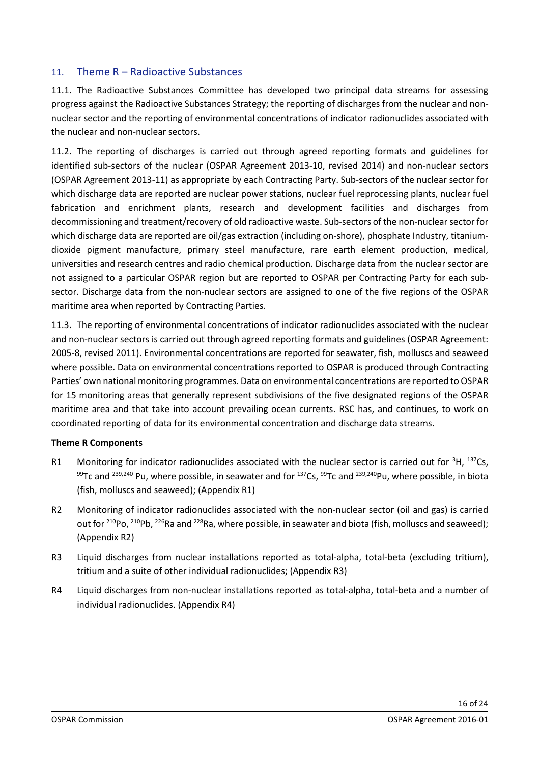## <span id="page-15-0"></span>11. Theme R – Radioactive Substances

11.1. The Radioactive Substances Committee has developed two principal data streams for assessing progress against the Radioactive Substances Strategy; the reporting of discharges from the nuclear and nonnuclear sector and the reporting of environmental concentrations of indicator radionuclides associated with the nuclear and non-nuclear sectors.

11.2. The reporting of discharges is carried out through agreed reporting formats and guidelines for identified sub-sectors of the nuclear (OSPAR Agreement 2013-10, revised 2014) and non-nuclear sectors (OSPAR Agreement 2013-11) as appropriate by each Contracting Party. Sub-sectors of the nuclear sector for which discharge data are reported are nuclear power stations, nuclear fuel reprocessing plants, nuclear fuel fabrication and enrichment plants, research and development facilities and discharges from decommissioning and treatment/recovery of old radioactive waste. Sub-sectors of the non-nuclear sector for which discharge data are reported are oil/gas extraction (including on-shore), phosphate Industry, titaniumdioxide pigment manufacture, primary steel manufacture, rare earth element production, medical, universities and research centres and radio chemical production. Discharge data from the nuclear sector are not assigned to a particular OSPAR region but are reported to OSPAR per Contracting Party for each subsector. Discharge data from the non-nuclear sectors are assigned to one of the five regions of the OSPAR maritime area when reported by Contracting Parties.

11.3. The reporting of environmental concentrations of indicator radionuclides associated with the nuclear and non-nuclear sectors is carried out through agreed reporting formats and guidelines (OSPAR Agreement: 2005-8, revised 2011). Environmental concentrations are reported for seawater, fish, molluscs and seaweed where possible. Data on environmental concentrations reported to OSPAR is produced through Contracting Parties' own national monitoring programmes. Data on environmental concentrations are reported to OSPAR for 15 monitoring areas that generally represent subdivisions of the five designated regions of the OSPAR maritime area and that take into account prevailing ocean currents. RSC has, and continues, to work on coordinated reporting of data for its environmental concentration and discharge data streams.

### **Theme R Components**

- R1 Monitoring for indicator radionuclides associated with the nuclear sector is carried out for  ${}^{3}H$ ,  ${}^{137}Cs$ , 99Tc and <sup>239,240</sup> Pu, where possible, in seawater and for <sup>137</sup>Cs, <sup>99</sup>Tc and <sup>239,240</sup>Pu, where possible, in biota (fish, molluscs and seaweed); (Appendix R1)
- R2 Monitoring of indicator radionuclides associated with the non-nuclear sector (oil and gas) is carried out for <sup>210</sup>Po, <sup>210</sup>Pb, <sup>226</sup>Ra and <sup>228</sup>Ra, where possible, in seawater and biota (fish, molluscs and seaweed); (Appendix R2)
- R3 Liquid discharges from nuclear installations reported as total-alpha, total-beta (excluding tritium), tritium and a suite of other individual radionuclides; (Appendix R3)
- R4 Liquid discharges from non-nuclear installations reported as total-alpha, total-beta and a number of individual radionuclides. (Appendix R4)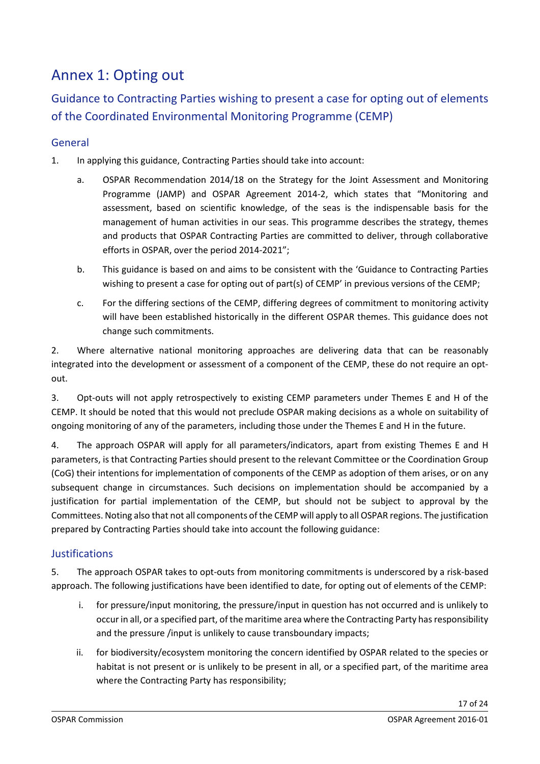## <span id="page-16-0"></span>Annex 1: Opting out

Guidance to Contracting Parties wishing to present a case for opting out of elements of the Coordinated Environmental Monitoring Programme (CEMP)

## <span id="page-16-1"></span>General

- 1. In applying this guidance, Contracting Parties should take into account:
	- a. OSPAR Recommendation 2014/18 on the Strategy for the Joint Assessment and Monitoring Programme (JAMP) and OSPAR Agreement 2014-2, which states that "Monitoring and assessment, based on scientific knowledge, of the seas is the indispensable basis for the management of human activities in our seas. This programme describes the strategy, themes and products that OSPAR Contracting Parties are committed to deliver, through collaborative efforts in OSPAR, over the period 2014-2021";
	- b. This guidance is based on and aims to be consistent with the 'Guidance to Contracting Parties wishing to present a case for opting out of part(s) of CEMP' in previous versions of the CEMP;
	- c. For the differing sections of the CEMP, differing degrees of commitment to monitoring activity will have been established historically in the different OSPAR themes. This guidance does not change such commitments.

2. Where alternative national monitoring approaches are delivering data that can be reasonably integrated into the development or assessment of a component of the CEMP, these do not require an optout.

3. Opt-outs will not apply retrospectively to existing CEMP parameters under Themes E and H of the CEMP. It should be noted that this would not preclude OSPAR making decisions as a whole on suitability of ongoing monitoring of any of the parameters, including those under the Themes E and H in the future.

4. The approach OSPAR will apply for all parameters/indicators, apart from existing Themes E and H parameters, is that Contracting Parties should present to the relevant Committee or the Coordination Group (CoG) their intentions for implementation of components of the CEMP as adoption of them arises, or on any subsequent change in circumstances. Such decisions on implementation should be accompanied by a justification for partial implementation of the CEMP, but should not be subject to approval by the Committees. Noting also that not all components of the CEMP will apply to all OSPAR regions. The justification prepared by Contracting Parties should take into account the following guidance:

## <span id="page-16-2"></span>**Justifications**

5. The approach OSPAR takes to opt-outs from monitoring commitments is underscored by a risk-based approach. The following justifications have been identified to date, for opting out of elements of the CEMP:

- i. for pressure/input monitoring, the pressure/input in question has not occurred and is unlikely to occur in all, or a specified part, of the maritime area where the Contracting Party has responsibility and the pressure /input is unlikely to cause transboundary impacts;
- ii. for biodiversity/ecosystem monitoring the concern identified by OSPAR related to the species or habitat is not present or is unlikely to be present in all, or a specified part, of the maritime area where the Contracting Party has responsibility;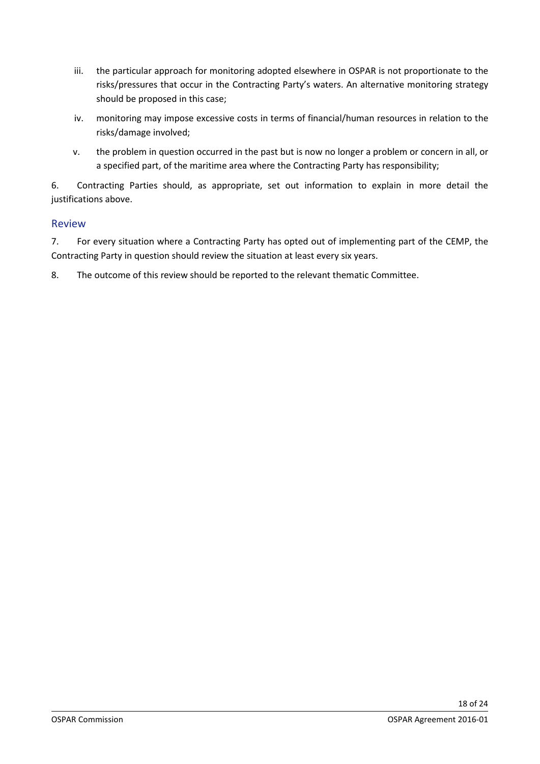- iii. the particular approach for monitoring adopted elsewhere in OSPAR is not proportionate to the risks/pressures that occur in the Contracting Party's waters. An alternative monitoring strategy should be proposed in this case;
- iv. monitoring may impose excessive costs in terms of financial/human resources in relation to the risks/damage involved;
- v. the problem in question occurred in the past but is now no longer a problem or concern in all, or a specified part, of the maritime area where the Contracting Party has responsibility;

6. Contracting Parties should, as appropriate, set out information to explain in more detail the justifications above.

## <span id="page-17-0"></span>Review

7. For every situation where a Contracting Party has opted out of implementing part of the CEMP, the Contracting Party in question should review the situation at least every six years.

8. The outcome of this review should be reported to the relevant thematic Committee.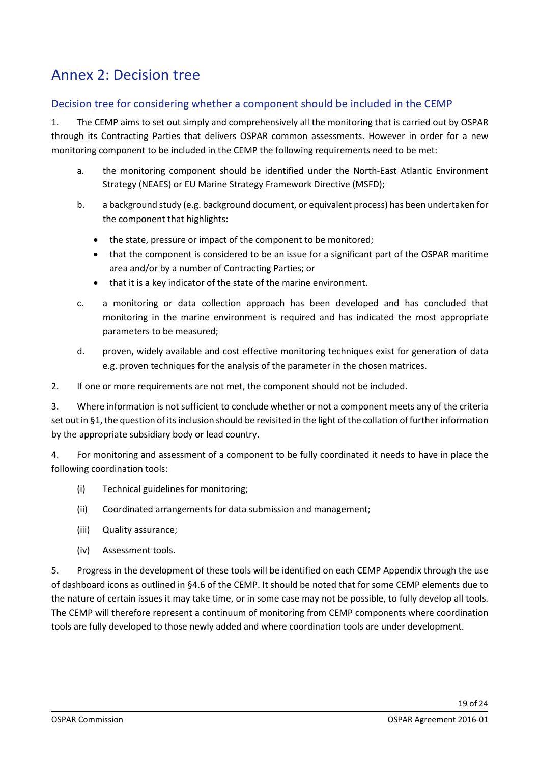## <span id="page-18-0"></span>Annex 2: Decision tree

## <span id="page-18-1"></span>Decision tree for considering whether a component should be included in the CEMP

1. The CEMP aims to set out simply and comprehensively all the monitoring that is carried out by OSPAR through its Contracting Parties that delivers OSPAR common assessments. However in order for a new monitoring component to be included in the CEMP the following requirements need to be met:

- a. the monitoring component should be identified under the North-East Atlantic Environment Strategy (NEAES) or EU Marine Strategy Framework Directive (MSFD);
- b. a background study (e.g. background document, or equivalent process) has been undertaken for the component that highlights:
	- the state, pressure or impact of the component to be monitored;
	- that the component is considered to be an issue for a significant part of the OSPAR maritime area and/or by a number of Contracting Parties; or
	- that it is a key indicator of the state of the marine environment.
- c. a monitoring or data collection approach has been developed and has concluded that monitoring in the marine environment is required and has indicated the most appropriate parameters to be measured;
- d. proven, widely available and cost effective monitoring techniques exist for generation of data e.g. proven techniques for the analysis of the parameter in the chosen matrices.

2. If one or more requirements are not met, the component should not be included.

3. Where information is not sufficient to conclude whether or not a component meets any of the criteria set out in §1, the question of its inclusion should be revisited in the light of the collation of further information by the appropriate subsidiary body or lead country.

4. For monitoring and assessment of a component to be fully coordinated it needs to have in place the following coordination tools:

- (i) Technical guidelines for monitoring;
- (ii) Coordinated arrangements for data submission and management;
- (iii) Quality assurance;
- (iv) Assessment tools.

5. Progress in the development of these tools will be identified on each CEMP Appendix through the use of dashboard icons as outlined in §4.6 of the CEMP. It should be noted that for some CEMP elements due to the nature of certain issues it may take time, or in some case may not be possible, to fully develop all tools. The CEMP will therefore represent a continuum of monitoring from CEMP components where coordination tools are fully developed to those newly added and where coordination tools are under development.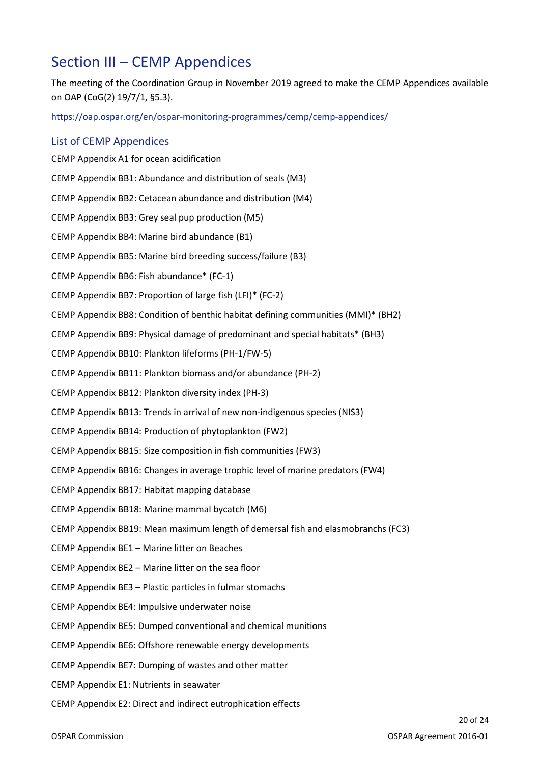## <span id="page-19-0"></span>Section III – CEMP Appendices

<span id="page-19-1"></span>The meeting of the Coordination Group in November 2019 agreed to make the CEMP Appendices available on OAP (CoG(2) 19/7/1, §5.3).

<https://oap.ospar.org/en/ospar-monitoring-programmes/cemp/cemp-appendices/>

### List of CEMP Appendices

CEMP Appendix A1 for ocean acidification CEMP Appendix BB1: Abundance and distribution of seals (M3) CEMP Appendix BB2: Cetacean abundance and distribution (M4) CEMP Appendix BB3: Grey seal pup production (M5) CEMP Appendix BB4: Marine bird abundance (B1) CEMP Appendix BB5: Marine bird breeding success/failure (B3) CEMP Appendix BB6: Fish abundance\* (FC-1) CEMP Appendix BB7: Proportion of large fish (LFI)\* (FC-2) CEMP Appendix BB8: Condition of benthic habitat defining communities (MMI)\* (BH2) CEMP Appendix BB9: Physical damage of predominant and special habitats\* (BH3) CEMP Appendix BB10: Plankton lifeforms (PH-1/FW-5) CEMP Appendix BB11: Plankton biomass and/or abundance (PH-2) CEMP Appendix BB12: Plankton diversity index (PH-3) CEMP Appendix BB13: Trends in arrival of new non-indigenous species (NIS3) CEMP Appendix BB14: Production of phytoplankton (FW2) CEMP Appendix BB15: Size composition in fish communities (FW3) CEMP Appendix BB16: Changes in average trophic level of marine predators (FW4) CEMP Appendix BB17: Habitat mapping database CEMP Appendix BB18: Marine mammal bycatch (M6) CEMP Appendix BB19: Mean maximum length of demersal fish and elasmobranchs (FC3) CEMP Appendix BE1 – Marine litter on Beaches CEMP Appendix BE2 – Marine litter on the sea floor CEMP Appendix BE3 – Plastic particles in fulmar stomachs CEMP Appendix BE4: Impulsive underwater noise CEMP Appendix BE5: Dumped conventional and chemical munitions CEMP Appendix BE6: Offshore renewable energy developments CEMP Appendix BE7: Dumping of wastes and other matter CEMP Appendix E1: Nutrients in seawater CEMP Appendix E2: Direct and indirect eutrophication effects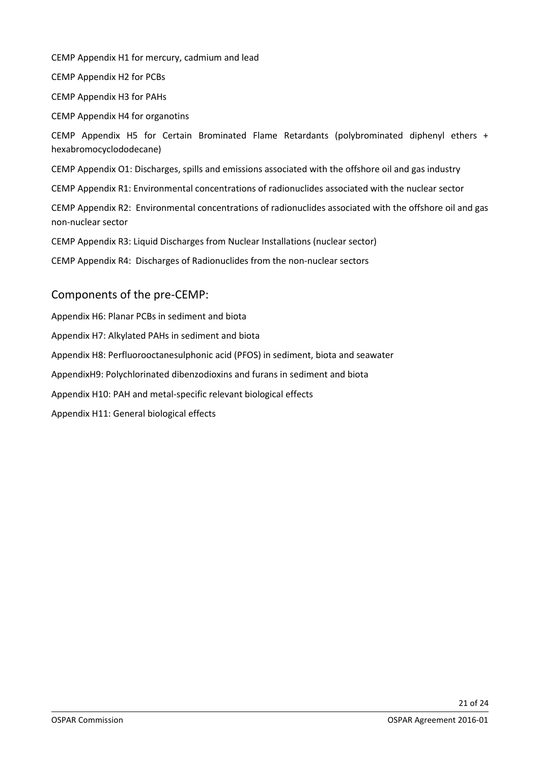CEMP Appendix H1 for mercury, cadmium and lead

CEMP Appendix H2 for PCBs

CEMP Appendix H3 for PAHs

CEMP Appendix H4 for organotins

CEMP Appendix H5 for Certain Brominated Flame Retardants (polybrominated diphenyl ethers + hexabromocyclododecane)

CEMP Appendix O1: Discharges, spills and emissions associated with the offshore oil and gas industry

CEMP Appendix R1: Environmental concentrations of radionuclides associated with the nuclear sector

CEMP Appendix R2: Environmental concentrations of radionuclides associated with the offshore oil and gas non-nuclear sector

CEMP Appendix R3: Liquid Discharges from Nuclear Installations (nuclear sector)

CEMP Appendix R4: Discharges of Radionuclides from the non-nuclear sectors

## Components of the pre-CEMP:

Appendix H6: Planar PCBs in sediment and biota Appendix H7: Alkylated PAHs in sediment and biota Appendix H8: Perfluorooctanesulphonic acid (PFOS) in sediment, biota and seawater AppendixH9: Polychlorinated dibenzodioxins and furans in sediment and biota Appendix H10: PAH and metal-specific relevant biological effects Appendix H11: General biological effects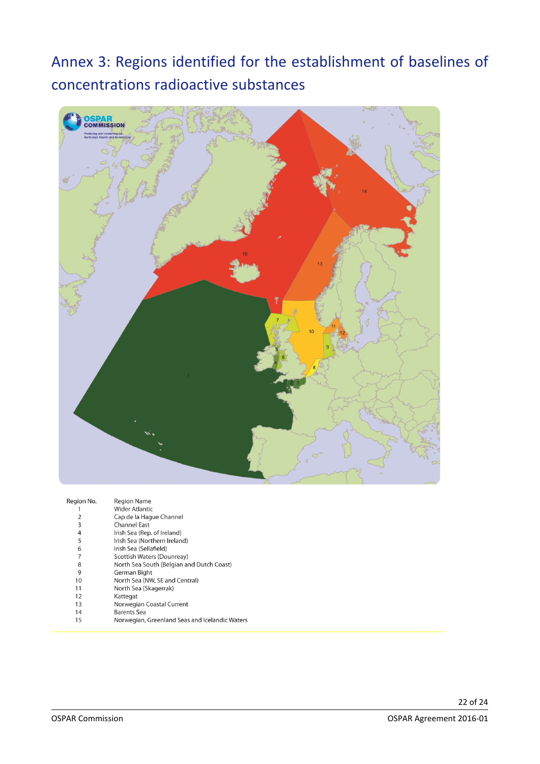## <span id="page-21-0"></span>Annex 3: Regions identified for the establishment of baselines of concentrations radioactive substances



| Region No. | <b>Region Name</b>                             |
|------------|------------------------------------------------|
|            | <b>Wider Atlantic</b>                          |
| 2          | Cap de la Haque Channel                        |
| 3          | <b>Channel East</b>                            |
| 4          | Irish Sea (Rep. of Ireland)                    |
| 5          | Irish Sea (Northern Ireland)                   |
| 6          | Irish Sea (Sellafield)                         |
| 7          | Scottish Waters (Dounreay)                     |
| 8          | North Sea South (Belgian and Dutch Coast)      |
| 9          | German Bight                                   |
| 10         | North Sea (NW, SE and Central)                 |
| 11         | North Sea (Skagerrak)                          |
| 12         | Kattegat                                       |
| 13         | Norwegian Coastal Current                      |
| 14         | <b>Barents Sea</b>                             |
| 15         | Norwegian, Greenland Seas and Icelandic Waters |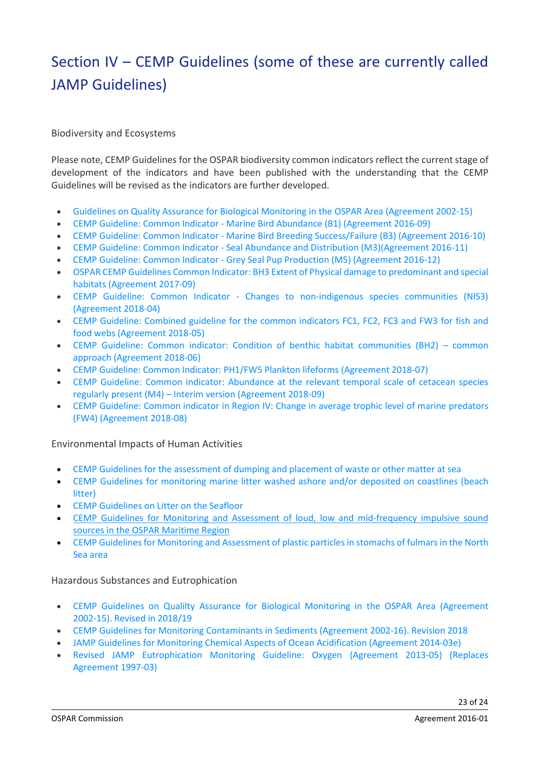## <span id="page-22-0"></span>Section IV – CEMP Guidelines (some of these are currently called JAMP Guidelines)

Biodiversity and Ecosystems

Please note, CEMP Guidelines for the OSPAR biodiversity common indicators reflect the current stage of development of the indicators and have been published with the understanding that the CEMP Guidelines will be revised as the indicators are further developed.

- Guidelines on Quality Assurance for Biological Monitoring in the OSPAR Area [\(Agreement](http://www.ospar.org/documents?d=32581) 2002-15)
- CEMP Guideline: Common Indicator Marine Bird Abundance (B1) [\(Agreement](https://www.ospar.org/documents?v=38978) 2016-09)
- CEMP Guideline: Common Indicator Marine Bird Breeding [Success/Failure](https://www.ospar.org/documents?v=38979) (B3) (Agreement 2016-10)
- CEMP Guideline: Common Indicator Seal Abundance and Distribution [\(M3\)\(Agreement](https://www.ospar.org/documents?v=38980) 2016-11)
- CEMP Guideline: Common Indicator Grey Seal Pup Production (M5) [\(Agreement](https://www.ospar.org/documents?v=38981) 2016-12)
- OSPAR CEMP Guidelines Common Indicator: BH3 Extent of Physical damage to [predominant](https://www.ospar.org/documents?v=37641) and special habitats [\(Agreement](https://www.ospar.org/documents?v=37641) 2017-09)
- CEMP Guideline: Common Indicator Changes to [non-indigenous](https://www.ospar.org/documents?v=38992) species communities (NIS3) [\(Agreement](https://www.ospar.org/documents?v=38992) 2018-04)
- CEMP Guideline: [Combined](https://www.ospar.org/documents?v=38999) guideline for the common indicators FC1, FC2, FC3 and FW3 for fish and food webs [\(Agreement](https://www.ospar.org/documents?v=38999) 2018-05)
- CEMP Guideline: Common indicator: Condition of benthic habitat [communities](https://www.ospar.org/documents?v=39000) (BH2) common approach [\(Agreement](https://www.ospar.org/documents?v=39000) 2018-06)
- CEMP Guideline: Common Indicator: PH1/FW5 Plankton lifeforms [\(Agreement](https://www.ospar.org/documents?v=39001) 2018-07)
- CEMP Guideline: Common indicator: [Abundance](https://www.ospar.org/documents?v=39019) at the relevant temporal scale of cetacean species regularly present (M4) – Interim version [\(Agreement](https://www.ospar.org/documents?v=39019) 2018-09)
- CEMP [Guideline:](https://www.ospar.org/documents?v=39002) Common indicator in Region IV: Change in average trophic level of marine predators (FW4) [\(Agreement](https://www.ospar.org/documents?v=39002) 2018-08)

Environmental Impacts of Human Activities

- CEMP Guidelines for the [assessment](https://www.ospar.org/documents?d=37513) of dumping and placement of waste or other matter at sea
- CEMP Guidelines for [monitoring](https://www.ospar.org/documents?d=37514) marine litter washed ashore and/or deposited on coastlines (beach [litter\)](https://www.ospar.org/documents?d=37514)
- CEMP [Guidelines](https://www.ospar.org/documents?d=37515) on Litter on the Seafloor
- CEMP Guidelines for Monitoring and Assessment of loud, low and [mid-frequency](https://www.ospar.org/documents?d=37516) impulsive sound sources in the OSPAR [Maritime](https://www.ospar.org/documents?d=37516) Region
- CEMP Guidelines for Monitoring and [Assessment](https://www.ospar.org/documents?d=35083) of plastic particles in stomachs of fulmars in the North Sea [area](https://www.ospar.org/documents?d=35083)

### Hazardous Substances and Eutrophication

- CEMP Guidelines on Qualilty Assurance for Biological Monitoring in the OSPAR Area [\(Agreement](https://www.ospar.org/convention/agreements?q=2002-15) [2002-15\).](https://www.ospar.org/convention/agreements?q=2002-15) Revised in 2018/19
- CEMP Guidelines for Monitoring [Contaminants](http://www.ospar.org/documents?d=32743) in Sediments (Agreement 2002-16). Revision 2018
- JAMP Guidelines for Monitoring Chemical Aspects of Ocean [Acidification](http://www.ospar.org/documents?d=33035) (Agreement 2014-03e)
- Revised JAMP [Eutrophication](http://www.ospar.org/documents?d=32949) Monitoring Guideline: Oxygen (Agreement 2013-05) (Replaces [Agreement](http://www.ospar.org/documents?d=32949) 1997-03)